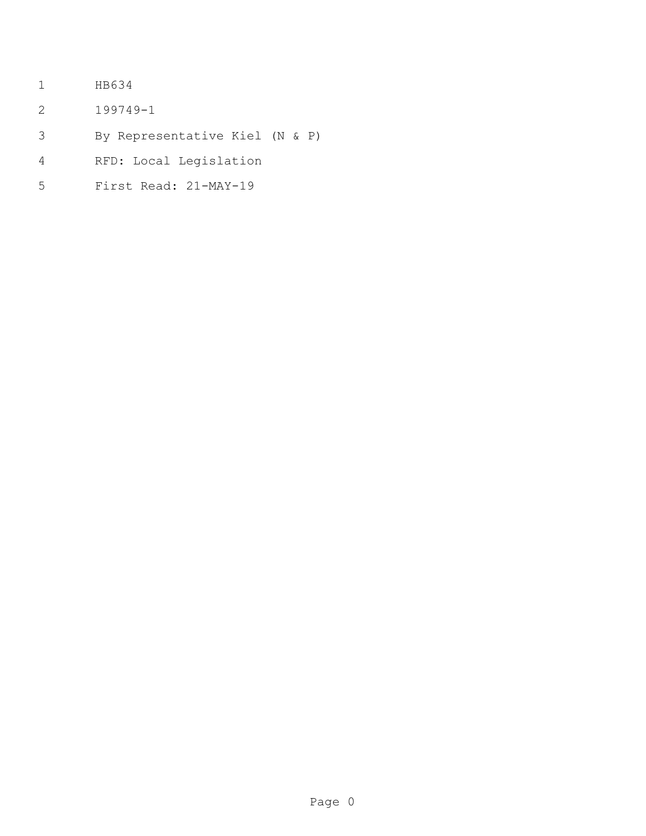- HB634
- 199749-1
- By Representative Kiel (N & P)
- RFD: Local Legislation
- First Read: 21-MAY-19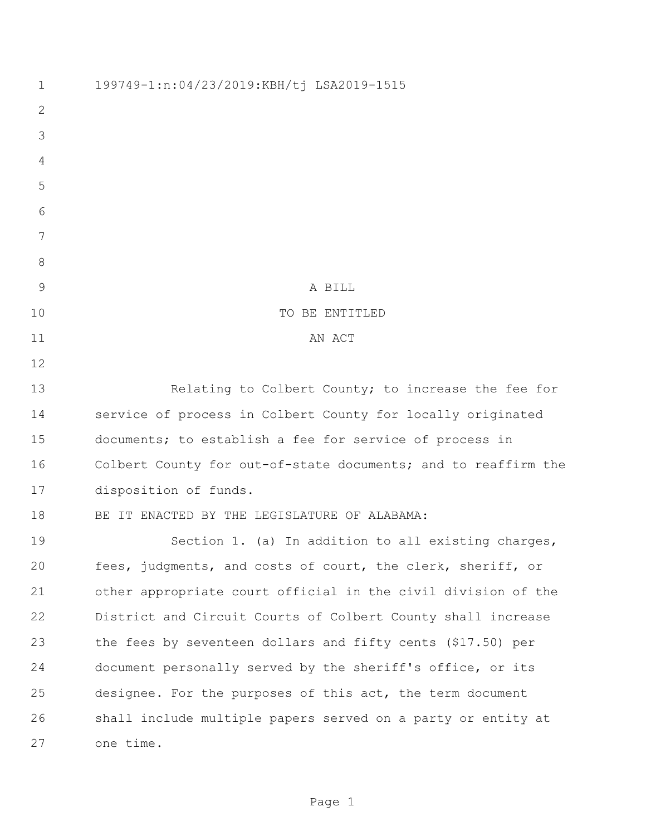199749-1:n:04/23/2019:KBH/tj LSA2019-1515 A BILL 10 TO BE ENTITLED 11 AN ACT Relating to Colbert County; to increase the fee for service of process in Colbert County for locally originated documents; to establish a fee for service of process in Colbert County for out-of-state documents; and to reaffirm the disposition of funds. 18 BE IT ENACTED BY THE LEGISLATURE OF ALABAMA: Section 1. (a) In addition to all existing charges, fees, judgments, and costs of court, the clerk, sheriff, or other appropriate court official in the civil division of the District and Circuit Courts of Colbert County shall increase the fees by seventeen dollars and fifty cents (\$17.50) per document personally served by the sheriff's office, or its designee. For the purposes of this act, the term document shall include multiple papers served on a party or entity at one time.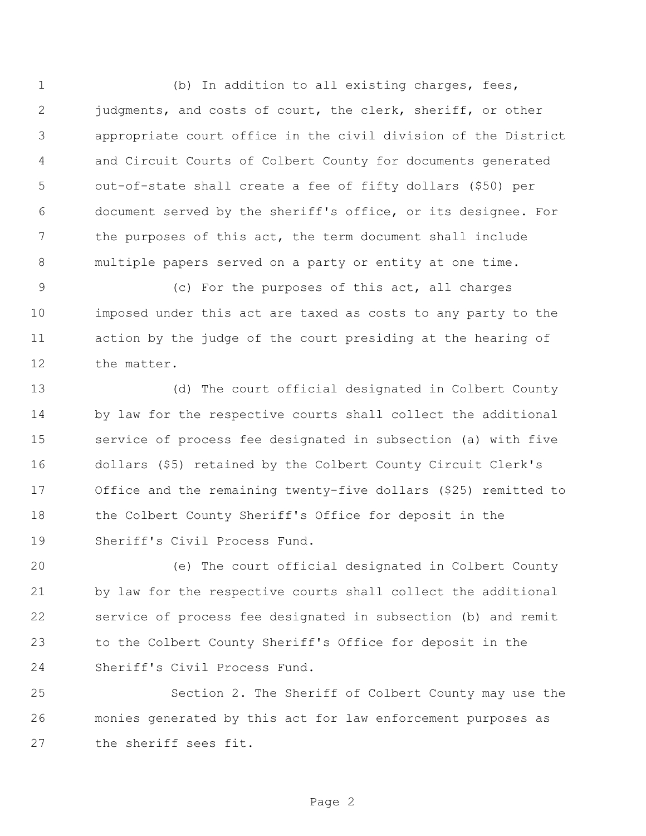(b) In addition to all existing charges, fees, 2 judgments, and costs of court, the clerk, sheriff, or other appropriate court office in the civil division of the District and Circuit Courts of Colbert County for documents generated out-of-state shall create a fee of fifty dollars (\$50) per document served by the sheriff's office, or its designee. For the purposes of this act, the term document shall include multiple papers served on a party or entity at one time.

 (c) For the purposes of this act, all charges imposed under this act are taxed as costs to any party to the action by the judge of the court presiding at the hearing of the matter.

 (d) The court official designated in Colbert County by law for the respective courts shall collect the additional service of process fee designated in subsection (a) with five dollars (\$5) retained by the Colbert County Circuit Clerk's Office and the remaining twenty-five dollars (\$25) remitted to the Colbert County Sheriff's Office for deposit in the Sheriff's Civil Process Fund.

 (e) The court official designated in Colbert County by law for the respective courts shall collect the additional service of process fee designated in subsection (b) and remit to the Colbert County Sheriff's Office for deposit in the Sheriff's Civil Process Fund.

 Section 2. The Sheriff of Colbert County may use the monies generated by this act for law enforcement purposes as the sheriff sees fit.